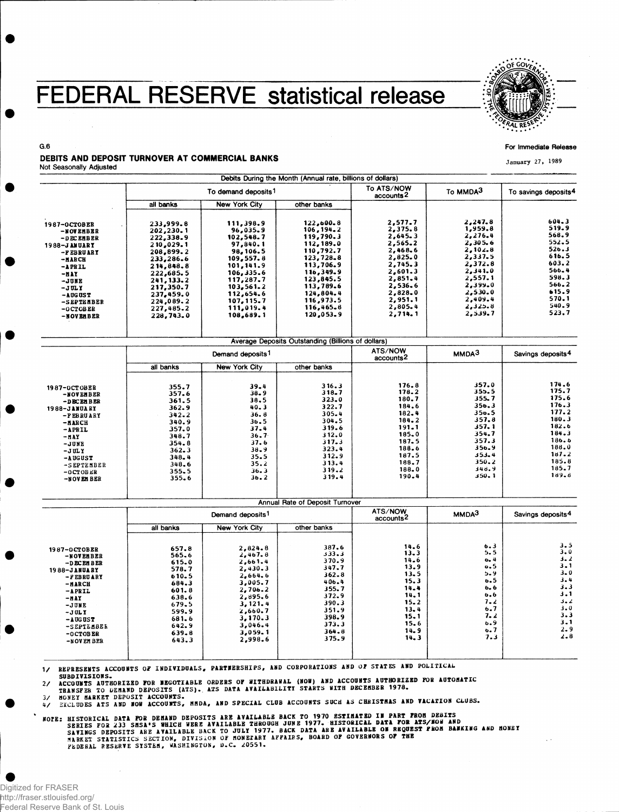# $FEDERAL RESERVE statistical release$



#### **For Immediate Release**

**January 27, 1989**

## DEBITS AND DEPOSIT TURNOVER AT COMMERCIAL BANKS

| Not Seasonally Adjusted |  |
|-------------------------|--|
|-------------------------|--|

**G.6** 

|                                                                                                                                                                                  | Debits During the Month (Annual rate, billions of dollars)<br>To demand deposits <sup>1</sup>                                                                                        |                                                                                                                                                                                     |                                                                                                                                                                                    | To ATS/NOW                                                                                                                                             | To MMDA3                                                                                                                                                | To savings deposits <sup>4</sup>                                                                                           |
|----------------------------------------------------------------------------------------------------------------------------------------------------------------------------------|--------------------------------------------------------------------------------------------------------------------------------------------------------------------------------------|-------------------------------------------------------------------------------------------------------------------------------------------------------------------------------------|------------------------------------------------------------------------------------------------------------------------------------------------------------------------------------|--------------------------------------------------------------------------------------------------------------------------------------------------------|---------------------------------------------------------------------------------------------------------------------------------------------------------|----------------------------------------------------------------------------------------------------------------------------|
|                                                                                                                                                                                  | all banks                                                                                                                                                                            | <b>New York City</b>                                                                                                                                                                | other banks                                                                                                                                                                        | accounts <sup>2</sup>                                                                                                                                  |                                                                                                                                                         |                                                                                                                            |
| 1987-OCTOBER<br>-NOVEMBER<br>-DECEMBER<br><b>1988-JANUARY</b><br>-FEBRUARY<br>-HARCH<br>$-A$ PRIL<br>-NAY<br>-JUNE<br>-JULY<br>-AUGUST<br>-SEPTEMBER<br>$-0$ CTOBER<br>-NOVERBER | 233,999.8<br>202,230.1<br>222,338.9<br>210,029.1<br>208.899.2<br>233,286.6<br>214,848.8<br>222,685.5<br>241, 133, 2<br>217,350.7<br>237,459.0<br>224,089.2<br>227,485.2<br>228,743.0 | 111,398.9<br>96,035.9<br>102,548.7<br>97.840.1<br>98,106.5<br>109,557.8<br>101, 141.9<br>106,335.6<br>117,287,7<br>103, 561.2<br>112,654.6<br>107, 115, 7<br>111,019.4<br>108,689.1 | 122,600.8<br>106,194.2<br>119,790.3<br>112,189.0<br>110,792.7<br>123,728.8<br>113,706.9<br>116,349.9<br>123,845.5<br>113,789.6<br>124,804.4<br>116,973.5<br>116,465.8<br>120,053.9 | 2.577.7<br>2,375.8<br>2,645.3<br>2,565.2<br>2,468.6<br>2,825.0<br>2,745.3<br>2,601.3<br>2,851.4<br>2,536.6<br>2,828.0<br>2,951.1<br>2,805.4<br>2,714.1 | 2,247.8<br>1,959.8<br>2,276.4<br>2,305.6<br>2,102.8<br>2,337.5<br>2,372.8<br>2.341.0<br>2,557.1<br>2,399.0<br>2, 530.0<br>2,409.4<br>2.325.8<br>2.539.7 | 604.3<br>519.9<br>568.9<br>552.5<br>526.3<br>616.5<br>603.2<br>566.4<br>598.3<br>566.2<br>615.9<br>570.1<br>540.9<br>523.7 |

|                                                                                                                                                                        |                                                                                                                           |                                                                                                              | Average Deposits Outstanding (Billions of dollars)                                                                    |                                                                                                                                    |                                                                                                                                |                                                                                                                            |
|------------------------------------------------------------------------------------------------------------------------------------------------------------------------|---------------------------------------------------------------------------------------------------------------------------|--------------------------------------------------------------------------------------------------------------|-----------------------------------------------------------------------------------------------------------------------|------------------------------------------------------------------------------------------------------------------------------------|--------------------------------------------------------------------------------------------------------------------------------|----------------------------------------------------------------------------------------------------------------------------|
|                                                                                                                                                                        | Demand deposits <sup>1</sup>                                                                                              |                                                                                                              |                                                                                                                       |                                                                                                                                    |                                                                                                                                | Savings deposits 4                                                                                                         |
|                                                                                                                                                                        | all banks                                                                                                                 | New York City                                                                                                | other banks                                                                                                           |                                                                                                                                    |                                                                                                                                |                                                                                                                            |
| 1987-OCTOBER<br>-NOVEMBER<br>-DBCENBER<br>1988-JANUARY<br>-PEBRUARY<br>$-H A R C H$<br>-APRIL<br>$-MAY$<br>-JUNE<br>$-J$ UL Y<br>-AUGUST<br>$-SEPTEBER$<br>$-0$ CTOBER | 355.7<br>357.6<br>361.5<br>362.9<br>$342 - 2$<br>340.9<br>357.0<br>348.7<br>354.8<br>$362 - 3$<br>348.4<br>348.6<br>355.5 | 39.4<br>$38 - 9$<br>38.5<br>40.3<br>36.8<br>36.5<br>37.4<br>36.7<br>37.6<br>$38 - 9$<br>35.5<br>35.2<br>36.3 | 316.3<br>318.7<br>323.0<br>322.7<br>$305 - 4$<br>304.5<br>319.6<br>312.0<br>317.3<br>323.4<br>312.9<br>313.4<br>319.2 | 176.8<br>178.2<br>180.7<br>184.6<br>$182 - 4$<br>184.2<br>191.1<br>$185 - 0$<br>187.5<br>188.6<br>187.5<br>188.7<br>188.0<br>190.4 | 357.0<br>355.5<br>355.7<br>350.3<br>350.5<br>357.8<br>357.1<br>354.7<br>357.3<br>356.9<br>353.4<br>$350 - 2$<br>348.9<br>350.1 | 174.6<br>175.7<br>175.6<br>176.3<br>177.2<br>180.3<br>182.6<br>184.3<br>186.6<br>188.0<br>187.2<br>185.8<br>185.7<br>189.8 |
| -NOVEN BER                                                                                                                                                             | $355 - 6$                                                                                                                 | 36.2                                                                                                         | 319.4                                                                                                                 |                                                                                                                                    |                                                                                                                                |                                                                                                                            |

|                                                                                                                                                                                           |                                                                                                                            |                                                                                                                                                        | Annual Rate of Deposit Turnover                                                                                                    | ATS/NOW                                                                                                      |                                                                                                    |                                                                                                                            |
|-------------------------------------------------------------------------------------------------------------------------------------------------------------------------------------------|----------------------------------------------------------------------------------------------------------------------------|--------------------------------------------------------------------------------------------------------------------------------------------------------|------------------------------------------------------------------------------------------------------------------------------------|--------------------------------------------------------------------------------------------------------------|----------------------------------------------------------------------------------------------------|----------------------------------------------------------------------------------------------------------------------------|
|                                                                                                                                                                                           | Demand deposits <sup>1</sup>                                                                                               |                                                                                                                                                        | accounts <sup>2</sup>                                                                                                              | MMDA <sup>3</sup>                                                                                            | Savings deposits <sup>4</sup>                                                                      |                                                                                                                            |
|                                                                                                                                                                                           | all banks                                                                                                                  | <b>New York City</b>                                                                                                                                   | other banks                                                                                                                        |                                                                                                              |                                                                                                    |                                                                                                                            |
| 1987-OCTOBER<br>-NOVEMBER<br>-DECEMBER<br><b>1988-JANUARY</b><br>-FEBRUARY<br>$-ARCH$<br>$-APRIL$<br>$-MAY$<br>-JUNE<br>$-J$ OL Y<br>$-$ AUGUST<br>-SEPTEMBER<br>$-0$ CTOBER<br>-NOVEMBER | 657.8<br>565.6<br>615.0<br>578.7<br>610.5<br>684.3<br>601.8<br>638.6<br>679.5<br>599.9<br>681.6<br>642.9<br>639.8<br>643.3 | 2,824.8<br>2.467.8<br>2,661.4<br>2,430.3<br>2,664.6<br>3,005.7<br>2,706.2<br>2,895.6<br>3,121.4<br>2,660.7<br>3,170.3<br>3,046.4<br>3,059.1<br>2,998.6 | 387.6<br>د.33ء<br>370.9<br>347.7<br>$362 - 8$<br>406.4<br>355.7<br>372.9<br>390.3<br>351.9<br>398.9<br>373.3<br>$364 - 8$<br>375.9 | 14.6<br>13.3<br>14.6<br>13.9<br>13.5<br>15.3<br>14.4<br>14.1<br>15.2<br>13.4<br>15.1<br>15.6<br>14.9<br>14.3 | 6.3<br>5.5<br>0.4<br>0.5<br>$5 - 9$<br>6.5<br>6.6<br>6.6<br>7.2<br>6.7<br>7.2<br>b.9<br>6.7<br>7.3 | 3.5<br>3.0<br>3.2<br>$3 - 1$<br>$3 - 0$<br>3.4<br>$3 - 3$<br>3.1<br>$3 - 2$<br>3.0<br>3.3<br>$3 - 1$<br>$2 - 9$<br>$2 - 8$ |

**1/**  REPRESENTS ACCOUNTS OF INDIVIDUALS, PARTNERSHIPS, AND CORPORATIONS AND OF STATES AND POLITICAL

**2/**  ACCOUNTS AUTHORIZED FOR NEGOTIABLE ORDERS OF WITHDRAWAL (NOW) AND ACCOUNTS AUTHORIZED FOR AUTOMATIC<br>TRANSFER TO DEMAND DEPOSITS (ATS). ATS DATA AVAILABILITY STARTS WITH DECEMBER 1978.

**3 /** 

**4 /**  EXCLUDES ATS AND NOW ACCOUNTS, MMDA, AND SPECIAL CLUB ACCOUNTS SUCH AS CHRISTMAS AND VACATION CLUBS.

SAVINGS DEPOSITS ARE AVAILABLE BACK TO JULY 1977. BACK DATA ARE AVAILABLE ON REQUEST PROM BANKING AND B<br>MARKET STATISTICS SECTION, DIVISION OF MONETARY AFFAIRS, BOARD OF GOVERNORS OF THE<br>FEDERAL RESERVE SYSTEM, WASHINGTON,